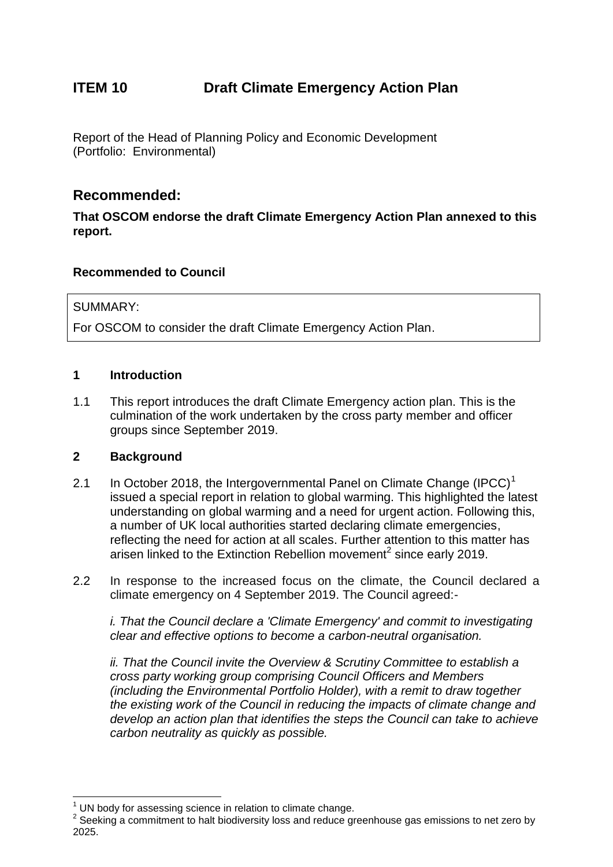# **ITEM 10 Draft Climate Emergency Action Plan**

Report of the Head of Planning Policy and Economic Development (Portfolio: Environmental)

# **Recommended:**

**That OSCOM endorse the draft Climate Emergency Action Plan annexed to this report.**

### **Recommended to Council**

#### SUMMARY:

For OSCOM to consider the draft Climate Emergency Action Plan.

#### **1 Introduction**

1.1 This report introduces the draft Climate Emergency action plan. This is the culmination of the work undertaken by the cross party member and officer groups since September 2019.

#### **2 Background**

 $\overline{a}$ 

- 2.1 In October 2018, the Intergovernmental Panel on Climate Change  $(IPCC)^1$ issued a special report in relation to global warming. This highlighted the latest understanding on global warming and a need for urgent action. Following this, a number of UK local authorities started declaring climate emergencies, reflecting the need for action at all scales. Further attention to this matter has arisen linked to the Extinction Rebellion movement<sup>2</sup> since early 2019.
- 2.2 In response to the increased focus on the climate, the Council declared a climate emergency on 4 September 2019. The Council agreed:-

*i. That the Council declare a 'Climate Emergency' and commit to investigating clear and effective options to become a carbon-neutral organisation.*

*ii. That the Council invite the Overview & Scrutiny Committee to establish a cross party working group comprising Council Officers and Members (including the Environmental Portfolio Holder), with a remit to draw together the existing work of the Council in reducing the impacts of climate change and develop an action plan that identifies the steps the Council can take to achieve carbon neutrality as quickly as possible.*

UN body for assessing science in relation to climate change.

 $2$  Seeking a commitment to halt biodiversity loss and reduce greenhouse gas emissions to net zero by 2025.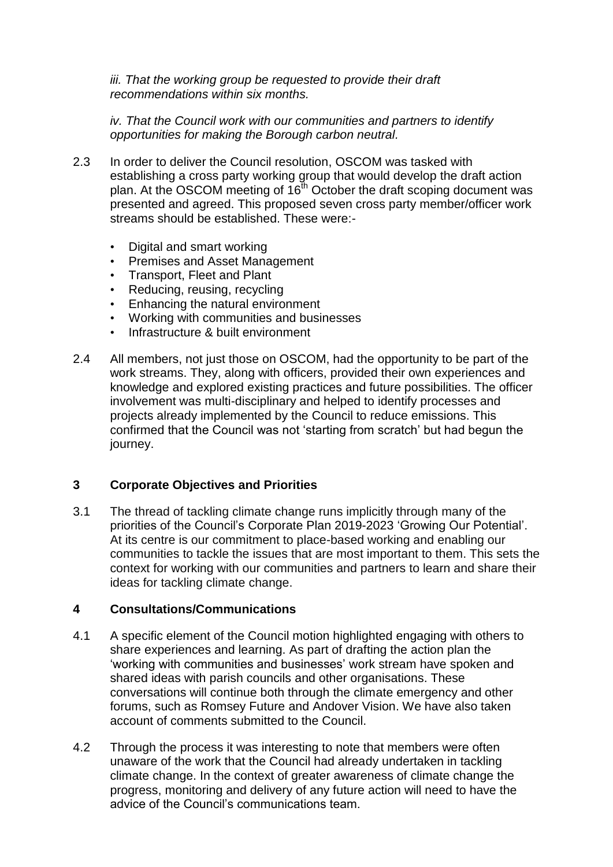iii. That the working group be requested to provide their draft *recommendations within six months.*

*iv. That the Council work with our communities and partners to identify opportunities for making the Borough carbon neutral.*

- 2.3 In order to deliver the Council resolution, OSCOM was tasked with establishing a cross party working group that would develop the draft action plan. At the OSCOM meeting of 16<sup>th</sup> October the draft scoping document was presented and agreed. This proposed seven cross party member/officer work streams should be established. These were:-
	- Digital and smart working
	- Premises and Asset Management
	- Transport, Fleet and Plant
	- Reducing, reusing, recycling
	- Enhancing the natural environment
	- Working with communities and businesses
	- Infrastructure & built environment
- 2.4 All members, not just those on OSCOM, had the opportunity to be part of the work streams. They, along with officers, provided their own experiences and knowledge and explored existing practices and future possibilities. The officer involvement was multi-disciplinary and helped to identify processes and projects already implemented by the Council to reduce emissions. This confirmed that the Council was not 'starting from scratch' but had begun the journey.

## **3 Corporate Objectives and Priorities**

3.1 The thread of tackling climate change runs implicitly through many of the priorities of the Council's Corporate Plan 2019-2023 'Growing Our Potential'. At its centre is our commitment to place-based working and enabling our communities to tackle the issues that are most important to them. This sets the context for working with our communities and partners to learn and share their ideas for tackling climate change.

#### **4 Consultations/Communications**

- 4.1 A specific element of the Council motion highlighted engaging with others to share experiences and learning. As part of drafting the action plan the 'working with communities and businesses' work stream have spoken and shared ideas with parish councils and other organisations. These conversations will continue both through the climate emergency and other forums, such as Romsey Future and Andover Vision. We have also taken account of comments submitted to the Council.
- 4.2 Through the process it was interesting to note that members were often unaware of the work that the Council had already undertaken in tackling climate change. In the context of greater awareness of climate change the progress, monitoring and delivery of any future action will need to have the advice of the Council's communications team.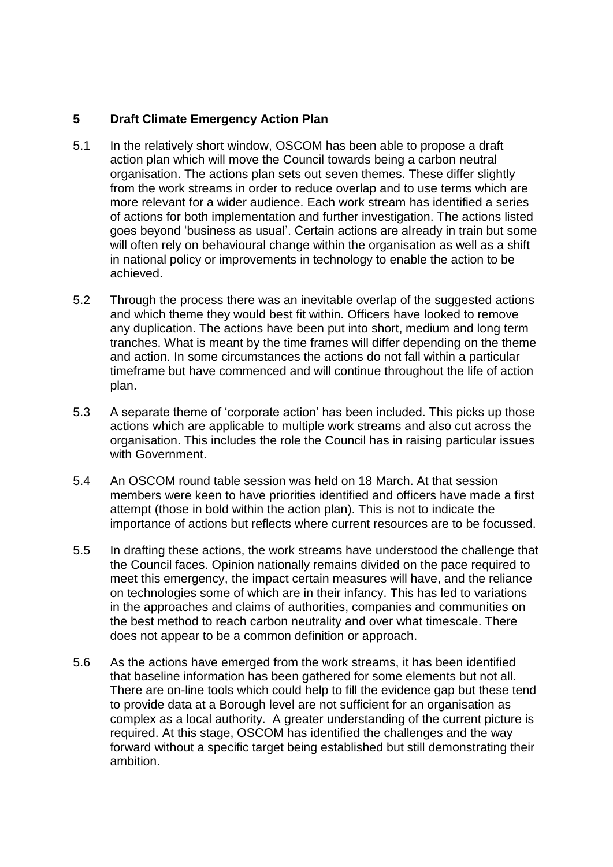### **5 Draft Climate Emergency Action Plan**

- 5.1 In the relatively short window, OSCOM has been able to propose a draft action plan which will move the Council towards being a carbon neutral organisation. The actions plan sets out seven themes. These differ slightly from the work streams in order to reduce overlap and to use terms which are more relevant for a wider audience. Each work stream has identified a series of actions for both implementation and further investigation. The actions listed goes beyond 'business as usual'. Certain actions are already in train but some will often rely on behavioural change within the organisation as well as a shift in national policy or improvements in technology to enable the action to be achieved.
- 5.2 Through the process there was an inevitable overlap of the suggested actions and which theme they would best fit within. Officers have looked to remove any duplication. The actions have been put into short, medium and long term tranches. What is meant by the time frames will differ depending on the theme and action. In some circumstances the actions do not fall within a particular timeframe but have commenced and will continue throughout the life of action plan.
- 5.3 A separate theme of 'corporate action' has been included. This picks up those actions which are applicable to multiple work streams and also cut across the organisation. This includes the role the Council has in raising particular issues with Government.
- 5.4 An OSCOM round table session was held on 18 March. At that session members were keen to have priorities identified and officers have made a first attempt (those in bold within the action plan). This is not to indicate the importance of actions but reflects where current resources are to be focussed.
- 5.5 In drafting these actions, the work streams have understood the challenge that the Council faces. Opinion nationally remains divided on the pace required to meet this emergency, the impact certain measures will have, and the reliance on technologies some of which are in their infancy. This has led to variations in the approaches and claims of authorities, companies and communities on the best method to reach carbon neutrality and over what timescale. There does not appear to be a common definition or approach.
- 5.6 As the actions have emerged from the work streams, it has been identified that baseline information has been gathered for some elements but not all. There are on-line tools which could help to fill the evidence gap but these tend to provide data at a Borough level are not sufficient for an organisation as complex as a local authority. A greater understanding of the current picture is required. At this stage, OSCOM has identified the challenges and the way forward without a specific target being established but still demonstrating their ambition.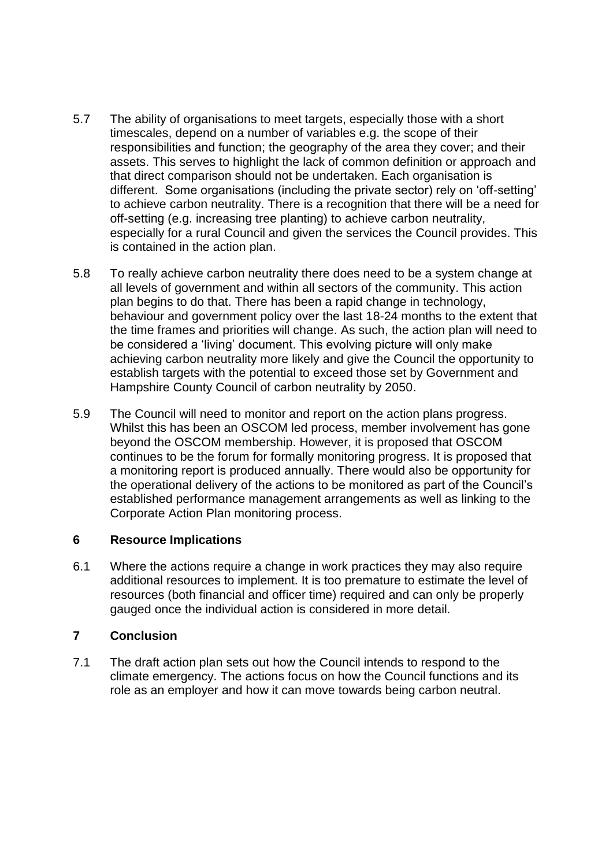- 5.7 The ability of organisations to meet targets, especially those with a short timescales, depend on a number of variables e.g. the scope of their responsibilities and function; the geography of the area they cover; and their assets. This serves to highlight the lack of common definition or approach and that direct comparison should not be undertaken. Each organisation is different. Some organisations (including the private sector) rely on 'off-setting' to achieve carbon neutrality. There is a recognition that there will be a need for off-setting (e.g. increasing tree planting) to achieve carbon neutrality, especially for a rural Council and given the services the Council provides. This is contained in the action plan.
- 5.8 To really achieve carbon neutrality there does need to be a system change at all levels of government and within all sectors of the community. This action plan begins to do that. There has been a rapid change in technology, behaviour and government policy over the last 18-24 months to the extent that the time frames and priorities will change. As such, the action plan will need to be considered a 'living' document. This evolving picture will only make achieving carbon neutrality more likely and give the Council the opportunity to establish targets with the potential to exceed those set by Government and Hampshire County Council of carbon neutrality by 2050.
- 5.9 The Council will need to monitor and report on the action plans progress. Whilst this has been an OSCOM led process, member involvement has gone beyond the OSCOM membership. However, it is proposed that OSCOM continues to be the forum for formally monitoring progress. It is proposed that a monitoring report is produced annually. There would also be opportunity for the operational delivery of the actions to be monitored as part of the Council's established performance management arrangements as well as linking to the Corporate Action Plan monitoring process.

#### **6 Resource Implications**

6.1 Where the actions require a change in work practices they may also require additional resources to implement. It is too premature to estimate the level of resources (both financial and officer time) required and can only be properly gauged once the individual action is considered in more detail.

#### **7 Conclusion**

7.1 The draft action plan sets out how the Council intends to respond to the climate emergency. The actions focus on how the Council functions and its role as an employer and how it can move towards being carbon neutral.